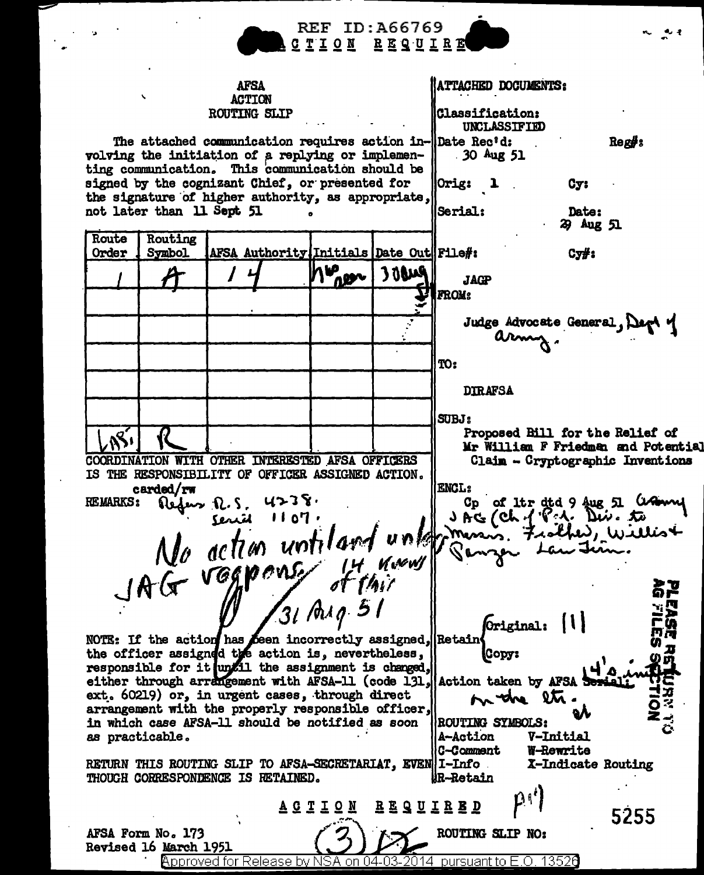

÷,

بي رو

| <b>AFSA</b>                                                                                                      | <b>ATTACHED DOCUMENTS:</b>                       |
|------------------------------------------------------------------------------------------------------------------|--------------------------------------------------|
| <b>ACTION</b>                                                                                                    |                                                  |
| ROUTING SLIP                                                                                                     | Classification:                                  |
|                                                                                                                  | UNCLASSIFIED                                     |
| The attached communication requires action in-  Date Rec'd:<br>volving the initiation of a replying or implemen- | $\text{Regf}$ :                                  |
| ting communication. This communication should be                                                                 | 30 Aug 51                                        |
| signed by the cognizant Chief, or presented for                                                                  | Orig: 1<br>$CY$ :                                |
| the signature of higher authority, as appropriate,                                                               |                                                  |
| not later than 11 Sept 51                                                                                        | Serial:<br>Date:                                 |
| Route                                                                                                            | 29 Aug 51                                        |
| Routing<br>AFSA Authority(Initials Date Out  File#:<br>Order<br>Symbol                                           | $CY$ #:                                          |
|                                                                                                                  |                                                  |
| hones<br><b>Public</b>                                                                                           | <b>JAGP</b>                                      |
|                                                                                                                  | <b>FROM:</b>                                     |
|                                                                                                                  |                                                  |
|                                                                                                                  | Judge Advocate General, Dept of                  |
|                                                                                                                  |                                                  |
|                                                                                                                  | TO:                                              |
|                                                                                                                  |                                                  |
|                                                                                                                  | <b>DIRAFSA</b>                                   |
|                                                                                                                  | SUBJ:                                            |
|                                                                                                                  | Proposed Bill for the Relief of                  |
|                                                                                                                  | Mr William F Friedman and Potential              |
| COORDINATION WITH OTHER INTERESTED AFSA OFFICERS                                                                 | Claim - Cryptographic Inventions                 |
| IS THE RESPONSIBILITY OF OFFICER ASSIGNED ACTION.<br>carded/rw                                                   | Me retien untilaint unlopment. Fielles, williest |
| <b>REMARKS:</b>                                                                                                  |                                                  |
|                                                                                                                  |                                                  |
|                                                                                                                  |                                                  |
|                                                                                                                  |                                                  |
|                                                                                                                  |                                                  |
| SI Aug 51                                                                                                        | 52                                               |
|                                                                                                                  |                                                  |
|                                                                                                                  | Original:                                        |
| NOTE: If the action has been incorrectly assigned, Retain                                                        |                                                  |
| the officer assigned the action is, nevertheless,                                                                | <b>(Copy:</b>                                    |
| responsible for it until the assignment is changed,                                                              |                                                  |
| either through arrangement with AFSA-11 (code 131, Action taken by AFSA                                          |                                                  |
| ext. 60219) or, in urgent cases, through direct<br>arrangement with the properly responsible officer,            | on the etc.                                      |
| in which case AFSA-11 should be notified as soon                                                                 | ROUTING SYMBOLS:                                 |
| as practicable.                                                                                                  | <b>A-Action</b><br><b>V-Initial</b>              |
|                                                                                                                  | W-Rewrite<br><b>C-Comment</b>                    |
| RETURN THIS ROUTING SLIP TO AFSA-SECRETARIAT, EVEN I-Info<br>THOUGH CORRESPONDENCE IS RETAINED.                  | X-Indicate Routing<br><b>UR-Retain</b>           |
|                                                                                                                  |                                                  |
| <b>ACTION</b>                                                                                                    | $\mathbf{D}^{[i]}$<br><b>REQUIRED</b>            |
|                                                                                                                  | 5255                                             |
| AFSA Form No. 173                                                                                                | ROUTING SLIP NO:                                 |
| Revised 16 March 1951<br>Approved for Release by NSA on 04-03-2014 pursuant to E.O. 13526                        |                                                  |
|                                                                                                                  |                                                  |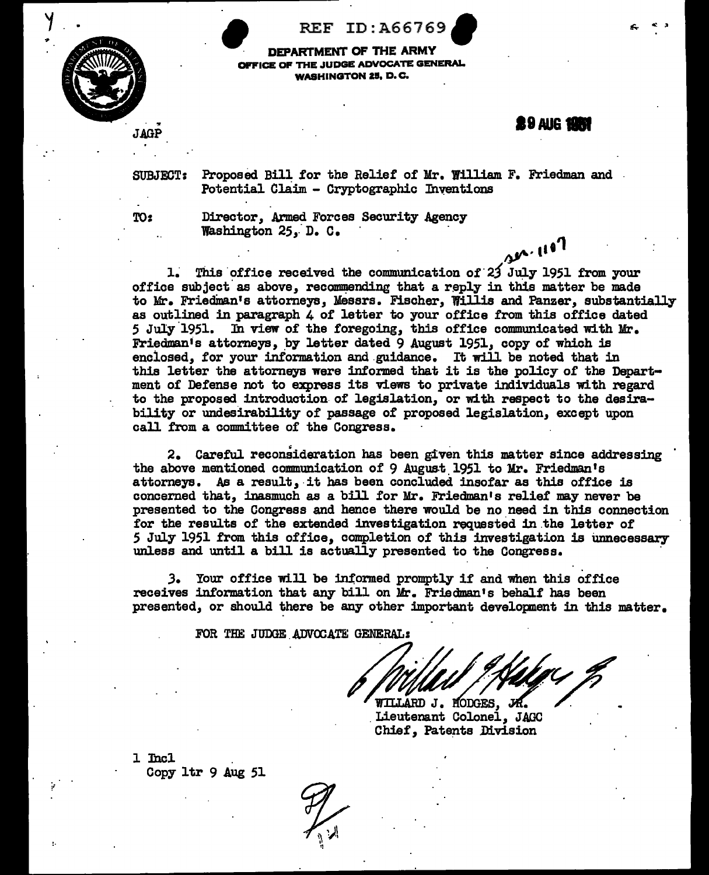

**• REF ID: A66769<br>• DEPARTMENT OF THE ARMY<br>• OFFICE OF THE JUDGE ADVOCATE GENERA**<br>• WASHINGTON 25, D.C. DEPARTMENT OF THE ARMY OFFICE OF THE JUDGE ADVOCATE GENERAL WASHINGTON 25, D.C.

**29 AUG 1997** 

SUBJECT: Proposed Bill for the Relief of Mr. William F. Friedman and Potential Claim - Cryptographic Inventions

TO: Director, Armed Forces Security Agency<br>Washington 25, D. C.

 $20.1197$ l~ This ·office received the communication of'· *2j* July 1951 from your office subject as above, recommending that a reply in this matter be made to Mr. Friedman's attorneys, Messrs. Fischer, Willis and Panzer, substantially as outlined in paragraph  $\tilde{4}$  of letter to your office from this office dated 5 July 1951. In view of the foregoing, this office communicated with Mr. In view of the foregoing, this office communicated with Mr. Friedman's attorneys, by letter dated 9 August 1951, copy of which is enclosed, for your information and.guidance. It will be noted that in this letter the attorneys were informed that it is the policy of the Department of Defense not to express its views to private individuals with regard to the proposed introduction of legislation, or with respect to the desirability or undesirability of passage of proposed legislation, except upon call from a committee of the Congress.

2. Careful reconsideration has been given this matter since addressing the above mentioned communication of 9 August 1951 to Mr. Friedman's attorneys. As a result, it has been concluded insofar as this office is concerned that, inasmuch as a bill for Mr. Friedman's relief may never be presented to the Congress and hence there would be no need in this connection for the results of the extended investigation requested in the letter of 5 July 1951 from this office, completion of this investigation is unnecessary unless and until a bill is actually presented to the Congress.

3. Your office will be informed promptly if and when this office receives information that any bill on Mr. Friedman's behalf has been presented, or should there be any other important developnent in this matter.

FOR THE JUDGE ADVOCATE GENERAL:

WILLARD J. MODGES, JA.<br>Lieutenant Colonel, JAGC Chief, Patents Division

1 Incl Copy 1tr 9 Aug 51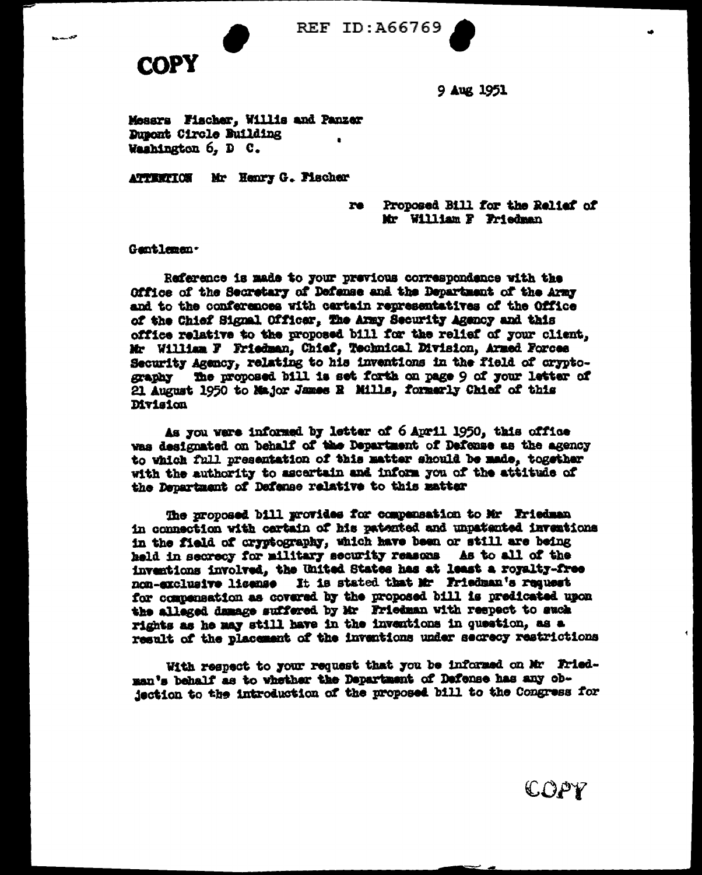

**REF ID: A66769** 

9 Aug 1951

Mossrs Fischer, Willis and Panzer Dupont Circle Building Washington 6, D C.

ATTERIION Mr Henry G. Pischer

Proposed Bill for the Reliaf of re Mr William F Friedman

Gentlemen.

Reference is made to your previous correspondence with the Office of the Secretary of Defense and the Department of the Army and to the conferences with cartain representatives of the Office of the Chief Signal Officer, The Army Security Agency and this office relative to the proposed bill for the relief of your client. Mr William F Friedman, Chief, Technical Division, Armed Forces Security Agency, relating to his inventions in the field of crypto-The proposed bill is set forth on page 9 of your letter of graphy 21 August 1950 to Major James R Mills, formerly Chief of this Division

As you were informed by letter of 6 April 1950, this office was designated on behalf of the Department of Defense as the agency to which full presentation of this matter should be made, together with the authority to ascertain and inform you of the attitude of the Department of Defense relative to this matter

The proposed bill provides for compansation to Mr Friedman in connection with cartain of his patented and unpatented investions in the field of cryptography, which have been or still are being held in secrecy for military security reasons As to all of the inventions involved, the United States has at least a royalty-free non-exclusive lisense It is stated that Mr. Friedman's request for compansation as covered by the proposed bill is predicated upon the alleged damage suffered by Mr Friedman with respect to such rights as he may still have in the inventions in question, as a result of the placement of the inventions under secrecy restrictions

With respect to your request that you be informed on Mr Friedman's behalf as to whether the Department of Defense has any objection to the introduction of the proposed bill to the Congress for

COPY